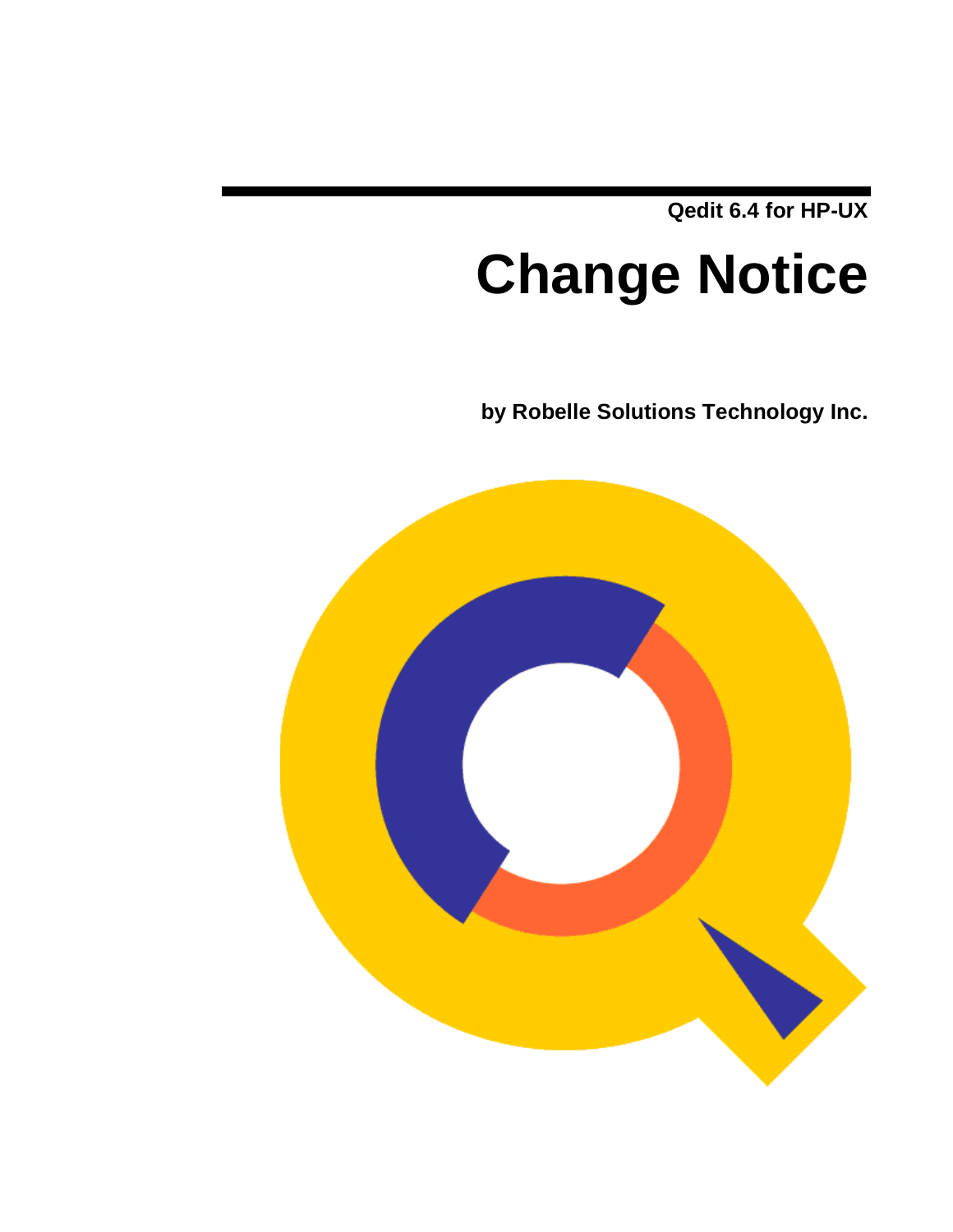**Qedit 6.4 for HP-UX**

# **Change Notice**

**by Robelle Solutions Technology Inc.**

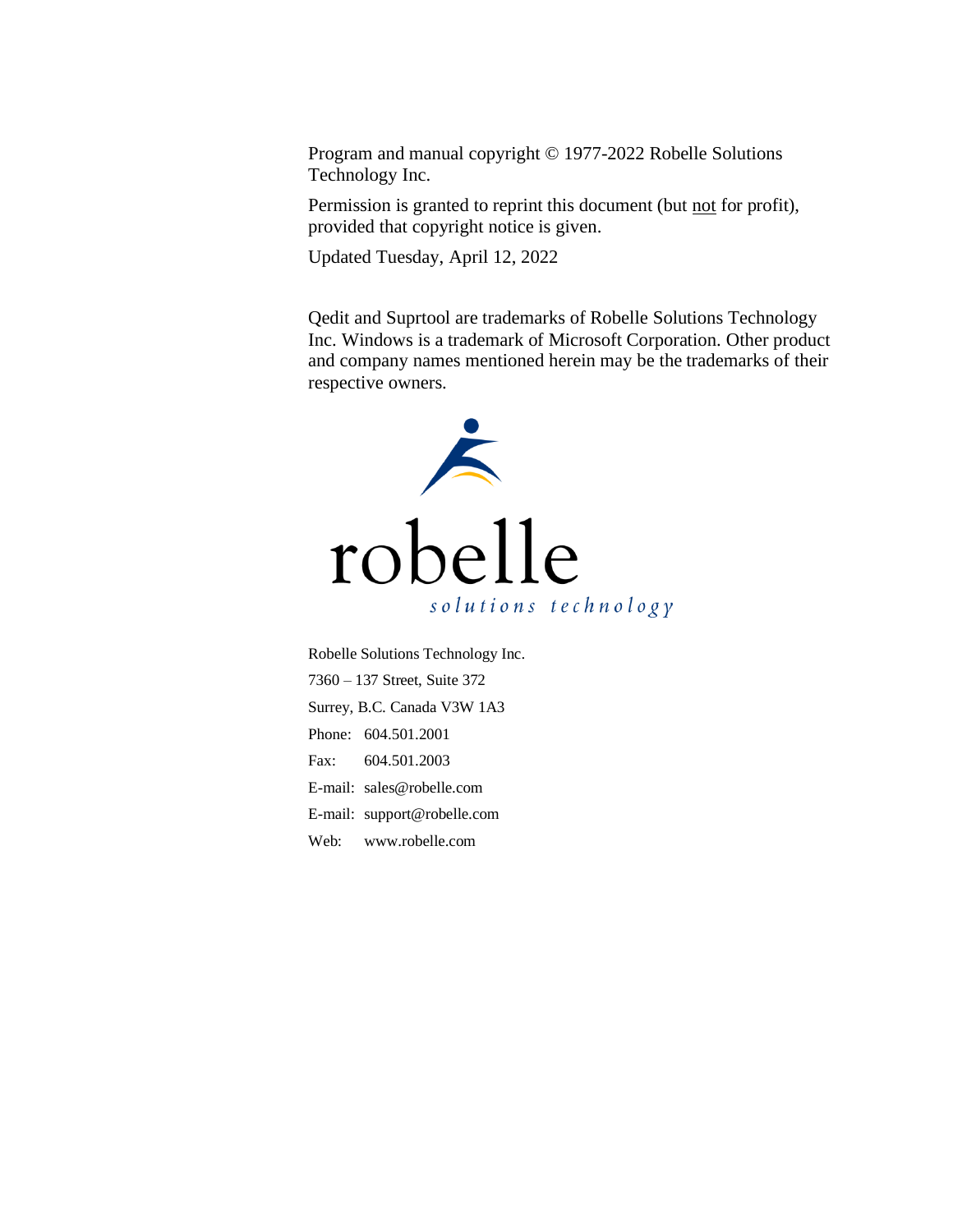Program and manual copyright © 1977-2022 Robelle Solutions Technology Inc.

Permission is granted to reprint this document (but not for profit), provided that copyright notice is given.

Updated Tuesday, April 12, 2022

Qedit and Suprtool are trademarks of Robelle Solutions Technology Inc. Windows is a trademark of Microsoft Corporation. Other product and company names mentioned herein may be the trademarks of their respective owners.



Robelle Solutions Technology Inc. 7360 – 137 Street, Suite 372 Surrey, B.C. Canada V3W 1A3 Phone: 604.501.2001 Fax: 604.501.2003 E-mail: sales@robelle.com E-mail: support@robelle.com Web: www.robelle.com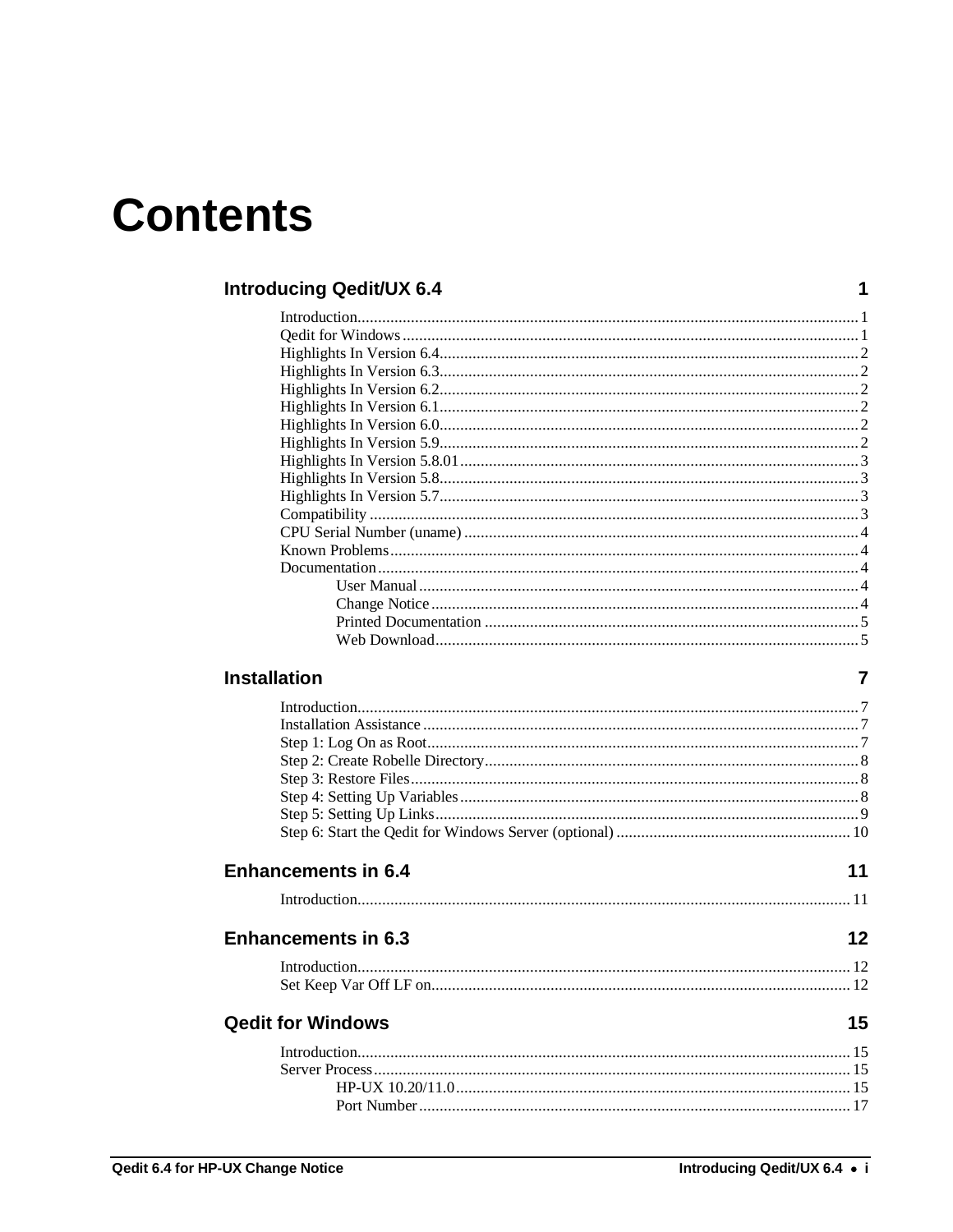## **Contents**

#### **Introducing Qedit/UX 6.4**

#### **Installation**

| <b>Enhancements in 6.4</b> | 11 |
|----------------------------|----|
|                            |    |
| <b>Enhancements in 6.3</b> | 12 |
|                            |    |
|                            |    |
| <b>Qedit for Windows</b>   | 15 |
|                            |    |
|                            |    |
|                            |    |
|                            |    |

 $\mathbf 1$ 

 $\overline{7}$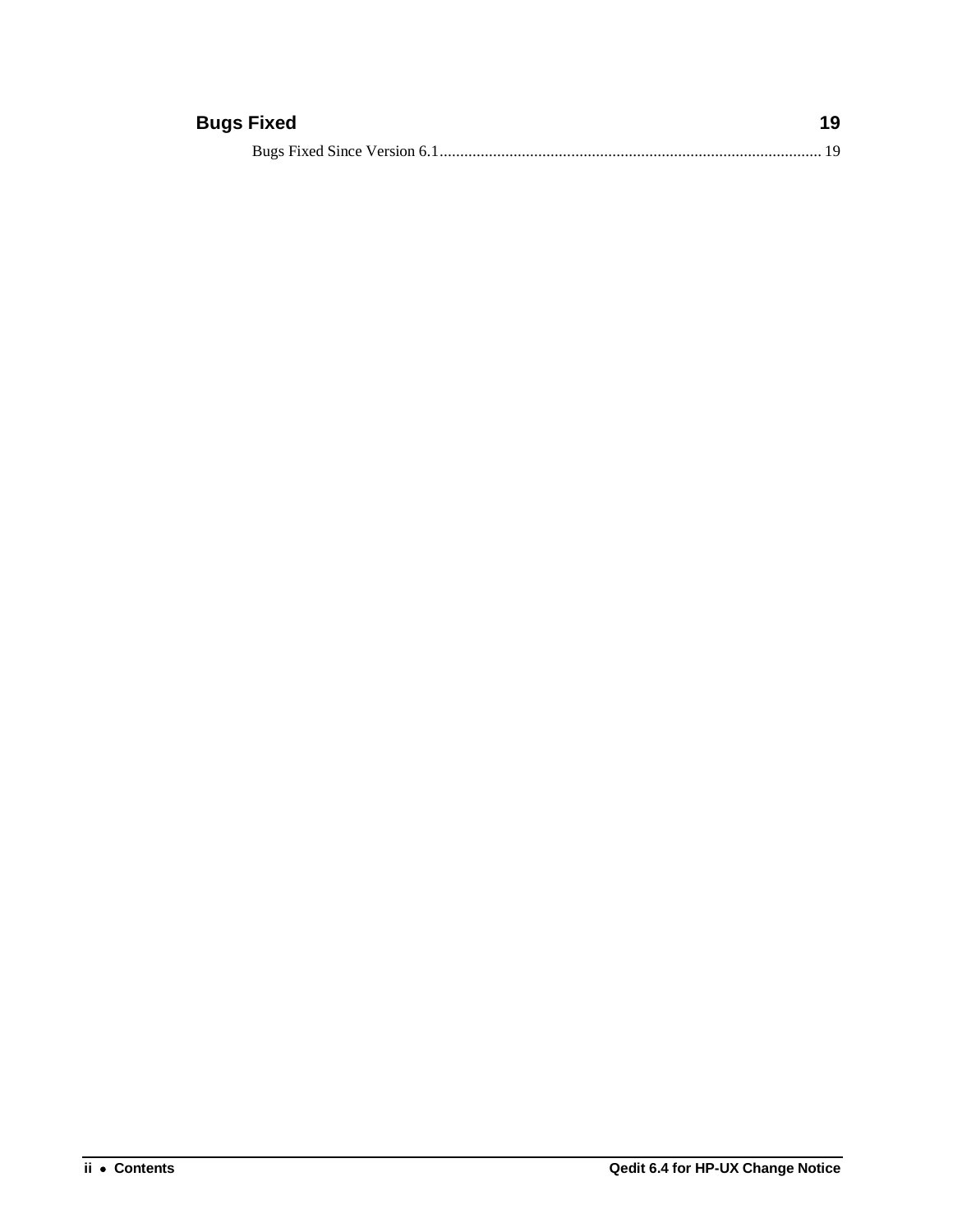### **Bugs Fixed 19**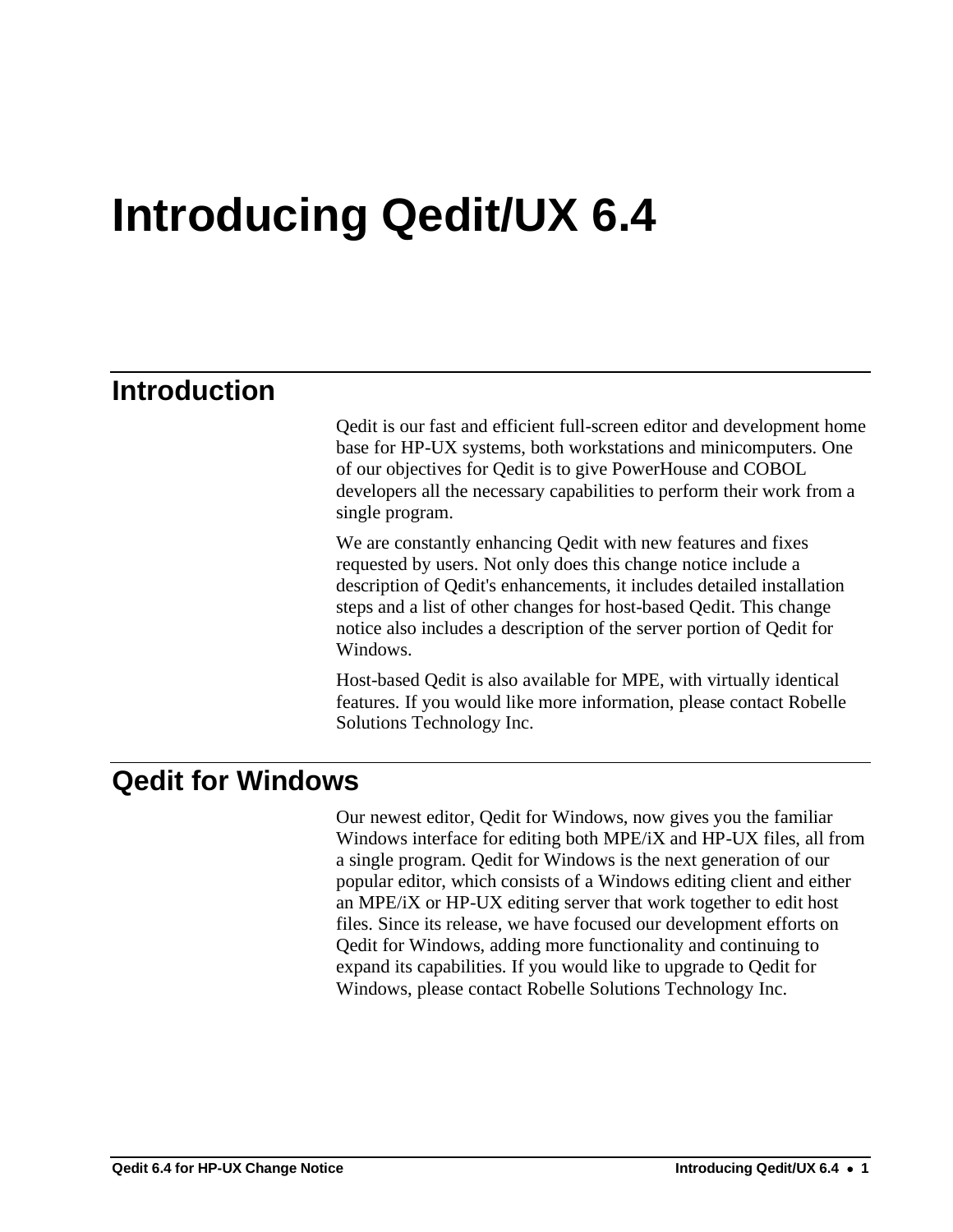## <span id="page-4-0"></span>**Introducing Qedit/UX 6.4**

## <span id="page-4-1"></span>**Introduction**

Qedit is our fast and efficient full-screen editor and development home base for HP-UX systems, both workstations and minicomputers. One of our objectives for Qedit is to give PowerHouse and COBOL developers all the necessary capabilities to perform their work from a single program.

We are constantly enhancing Qedit with new features and fixes requested by users. Not only does this change notice include a description of Qedit's enhancements, it includes detailed installation steps and a list of other changes for host-based Qedit. This change notice also includes a description of the server portion of Qedit for Windows.

Host-based Qedit is also available for MPE, with virtually identical features. If you would like more information, please contact Robelle Solutions Technology Inc.

### <span id="page-4-2"></span>**Qedit for Windows**

Our newest editor, Qedit for Windows, now gives you the familiar Windows interface for editing both MPE/iX and HP-UX files, all from a single program. Qedit for Windows is the next generation of our popular editor, which consists of a Windows editing client and either an MPE/iX or HP-UX editing server that work together to edit host files. Since its release, we have focused our development efforts on Qedit for Windows, adding more functionality and continuing to expand its capabilities. If you would like to upgrade to Qedit for Windows, please contact Robelle Solutions Technology Inc.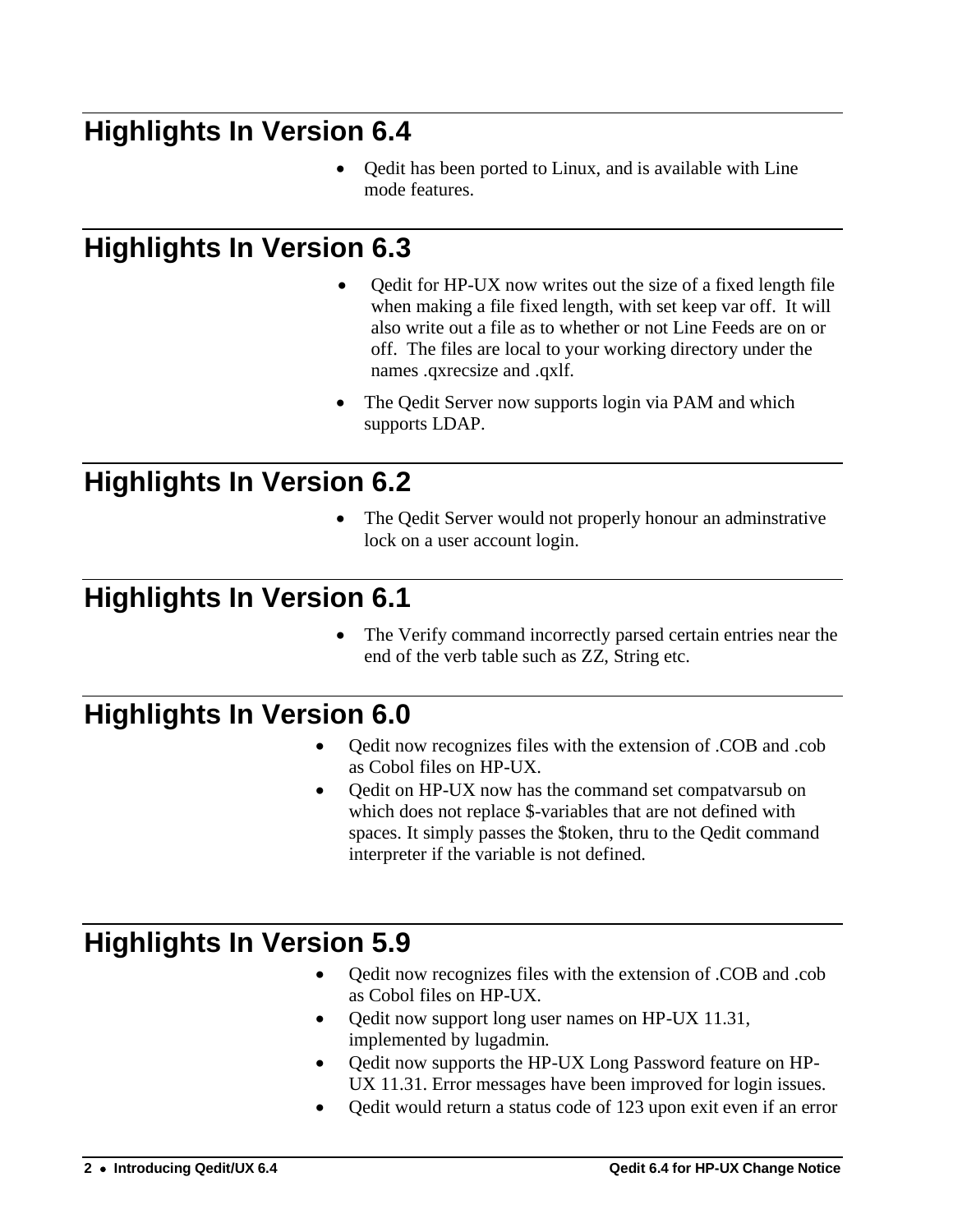## <span id="page-5-0"></span>**Highlights In Version 6.4**

• Qedit has been ported to Linux, and is available with Line mode features.

## <span id="page-5-1"></span>**Highlights In Version 6.3**

- Qedit for HP-UX now writes out the size of a fixed length file when making a file fixed length, with set keep var off. It will also write out a file as to whether or not Line Feeds are on or off. The files are local to your working directory under the names .qxrecsize and .qxlf.
- The Qedit Server now supports login via PAM and which supports LDAP.

## <span id="page-5-2"></span>**Highlights In Version 6.2**

The Qedit Server would not properly honour an adminstrative lock on a user account login.

## <span id="page-5-3"></span>**Highlights In Version 6.1**

The Verify command incorrectly parsed certain entries near the end of the verb table such as ZZ, String etc.

## <span id="page-5-4"></span>**Highlights In Version 6.0**

- Qedit now recognizes files with the extension of .COB and .cob as Cobol files on HP-UX.
- Qedit on HP-UX now has the command set compatvarsub on which does not replace \$-variables that are not defined with spaces. It simply passes the \$token, thru to the Qedit command interpreter if the variable is not defined.

## <span id="page-5-5"></span>**Highlights In Version 5.9**

- Qedit now recognizes files with the extension of .COB and .cob as Cobol files on HP-UX.
- Qedit now support long user names on HP-UX 11.31, implemented by lugadmin.
- Qedit now supports the HP-UX Long Password feature on HP-UX 11.31. Error messages have been improved for login issues.
- Qedit would return a status code of 123 upon exit even if an error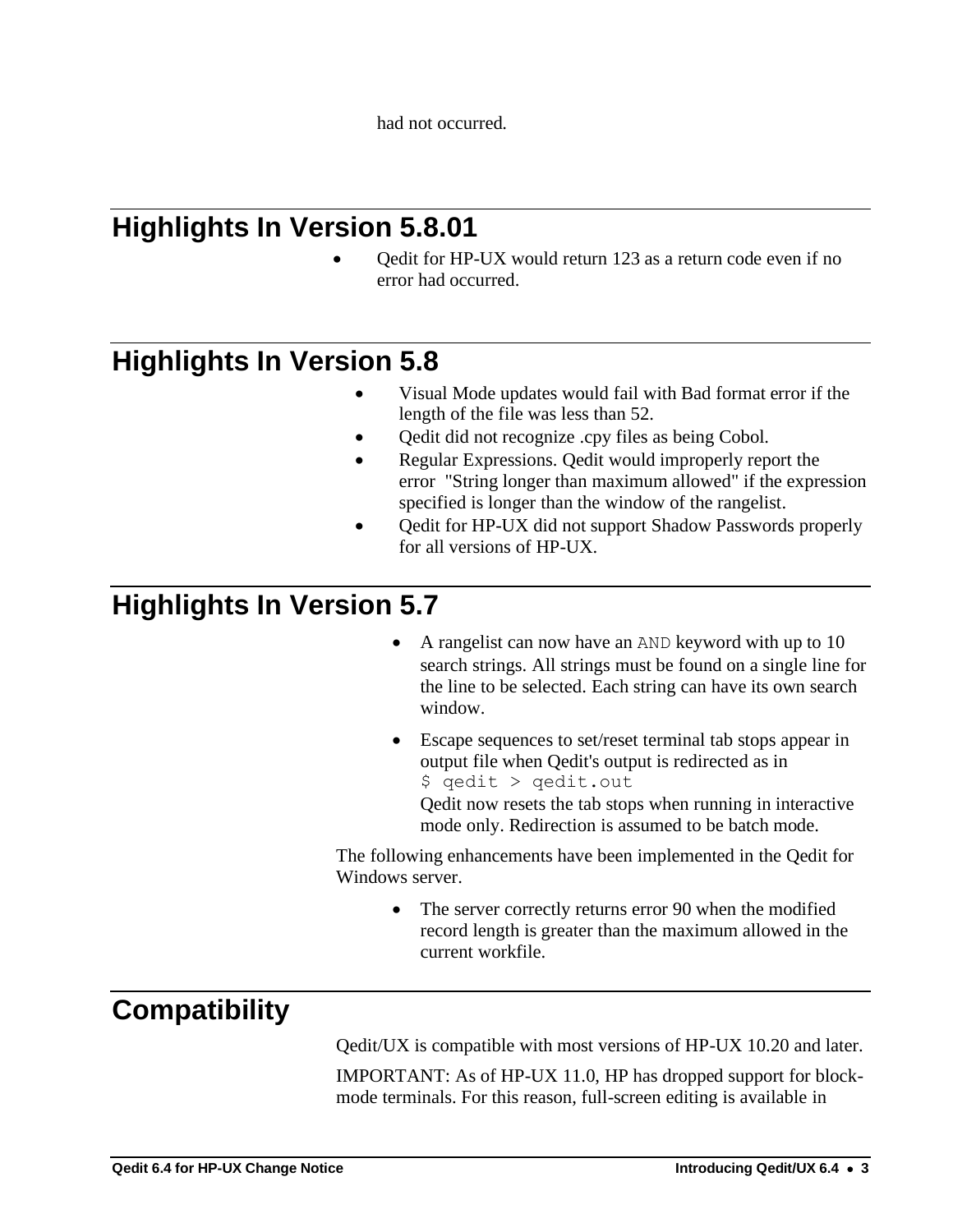had not occurred.

## <span id="page-6-0"></span>**Highlights In Version 5.8.01**

• Qedit for HP-UX would return 123 as a return code even if no error had occurred.

### <span id="page-6-1"></span>**Highlights In Version 5.8**

- Visual Mode updates would fail with Bad format error if the length of the file was less than 52.
- Oedit did not recognize .cpy files as being Cobol.
- Regular Expressions. Qedit would improperly report the error "String longer than maximum allowed" if the expression specified is longer than the window of the rangelist.
- Oedit for HP-UX did not support Shadow Passwords properly for all versions of HP-UX.

## <span id="page-6-2"></span>**Highlights In Version 5.7**

- A rangelist can now have an AND keyword with up to 10 search strings. All strings must be found on a single line for the line to be selected. Each string can have its own search window.
- Escape sequences to set/reset terminal tab stops appear in output file when Qedit's output is redirected as in \$ qedit > qedit.out

Qedit now resets the tab stops when running in interactive mode only. Redirection is assumed to be batch mode.

The following enhancements have been implemented in the Qedit for Windows server.

> • The server correctly returns error 90 when the modified record length is greater than the maximum allowed in the current workfile.

## <span id="page-6-3"></span>**Compatibility**

Qedit/UX is compatible with most versions of HP-UX 10.20 and later.

IMPORTANT: As of HP-UX 11.0, HP has dropped support for blockmode terminals. For this reason, full-screen editing is available in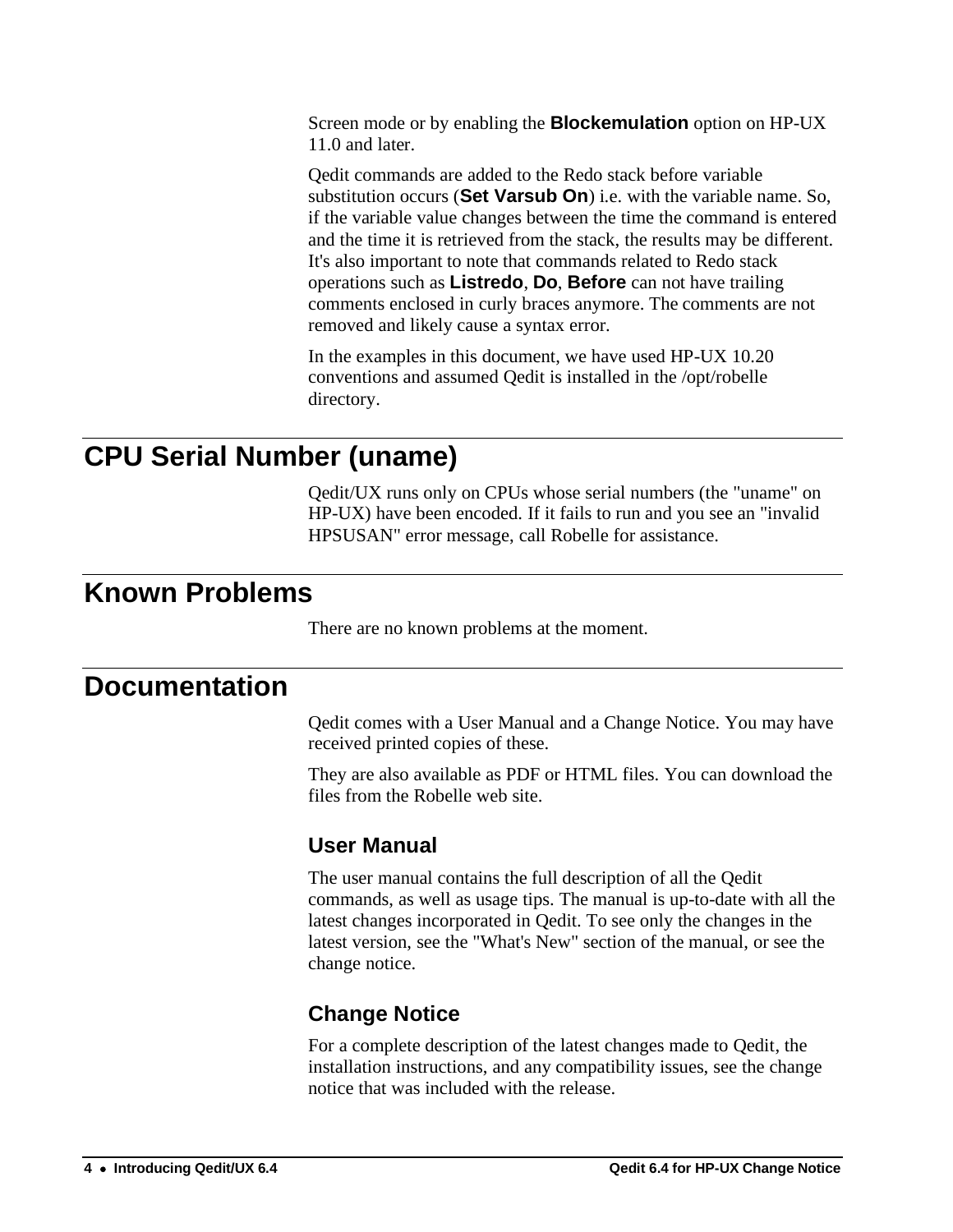Screen mode or by enabling the **Blockemulation** option on HP-UX 11.0 and later.

Qedit commands are added to the Redo stack before variable substitution occurs (**Set Varsub On**) i.e. with the variable name. So, if the variable value changes between the time the command is entered and the time it is retrieved from the stack, the results may be different. It's also important to note that commands related to Redo stack operations such as **Listredo**, **Do**, **Before** can not have trailing comments enclosed in curly braces anymore. The comments are not removed and likely cause a syntax error.

In the examples in this document, we have used HP-UX 10.20 conventions and assumed Qedit is installed in the /opt/robelle directory.

## <span id="page-7-0"></span>**CPU Serial Number (uname)**

Qedit/UX runs only on CPUs whose serial numbers (the "uname" on HP-UX) have been encoded. If it fails to run and you see an "invalid HPSUSAN" error message, call Robelle for assistance.

### <span id="page-7-1"></span>**Known Problems**

There are no known problems at the moment.

### <span id="page-7-3"></span><span id="page-7-2"></span>**Documentation**

Qedit comes with a User Manual and a Change Notice. You may have received printed copies of these.

They are also available as PDF or HTML files. You can download the files from the Robelle web site.

### **User Manual**

The user manual contains the full description of all the Qedit commands, as well as usage tips. The manual is up-to-date with all the latest changes incorporated in Qedit. To see only the changes in the latest version, see the "What's New" section of the manual, or see the change notice.

### <span id="page-7-4"></span>**Change Notice**

For a complete description of the latest changes made to Qedit, the installation instructions, and any compatibility issues, see the change notice that was included with the release.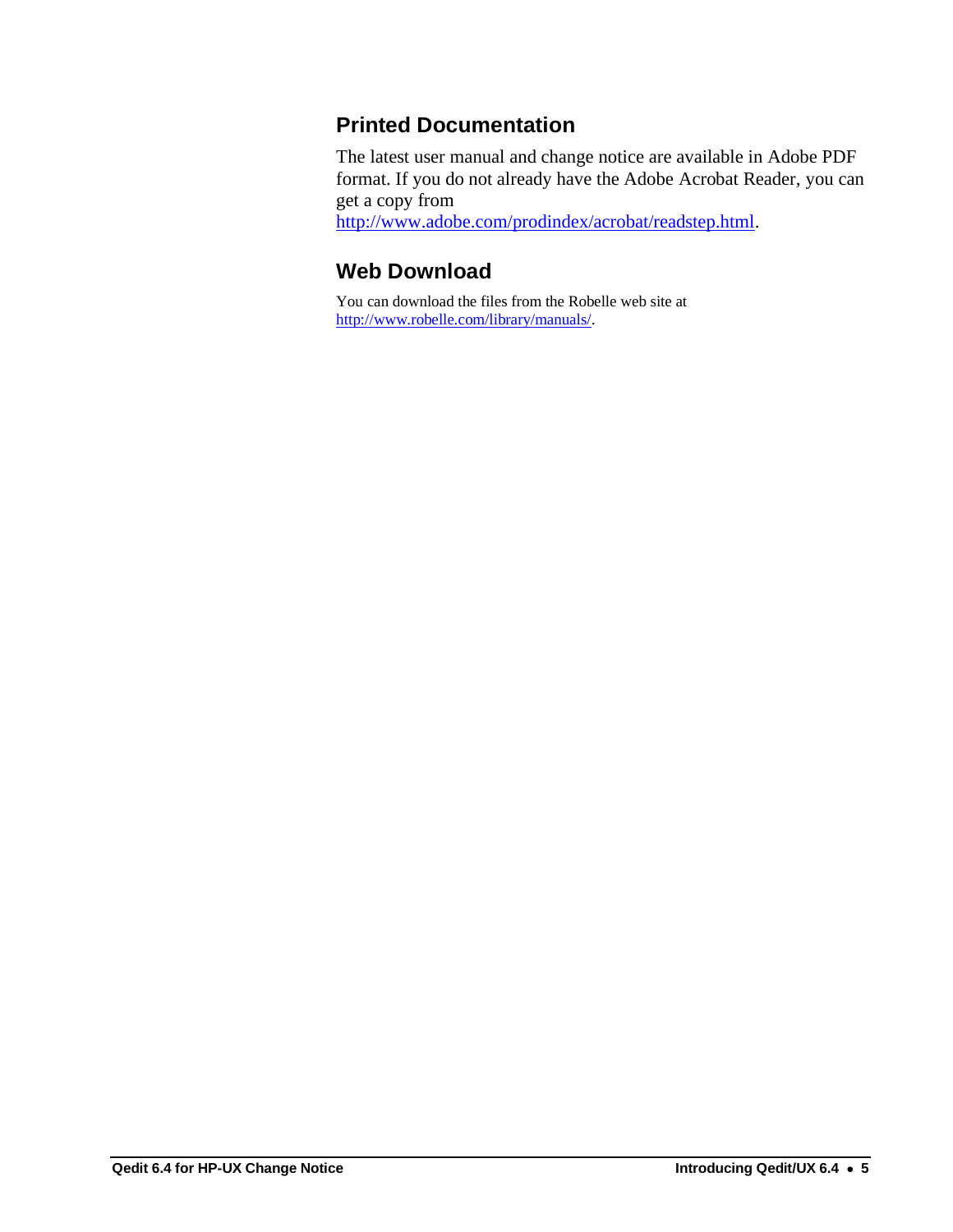#### <span id="page-8-0"></span>**Printed Documentation**

The latest user manual and change notice are available in Adobe PDF format. If you do not already have the Adobe Acrobat Reader, you can get a copy from

<span id="page-8-1"></span>[http://www.adobe.com/prodindex/acrobat/readstep.html.](http://www.adobe.com/prodindex/acrobat/readstep.html)

### **Web Download**

You can download the files from the Robelle web site at [http://www.robelle.com/library/manuals/.](http://www.robelle.com/library/manuals/)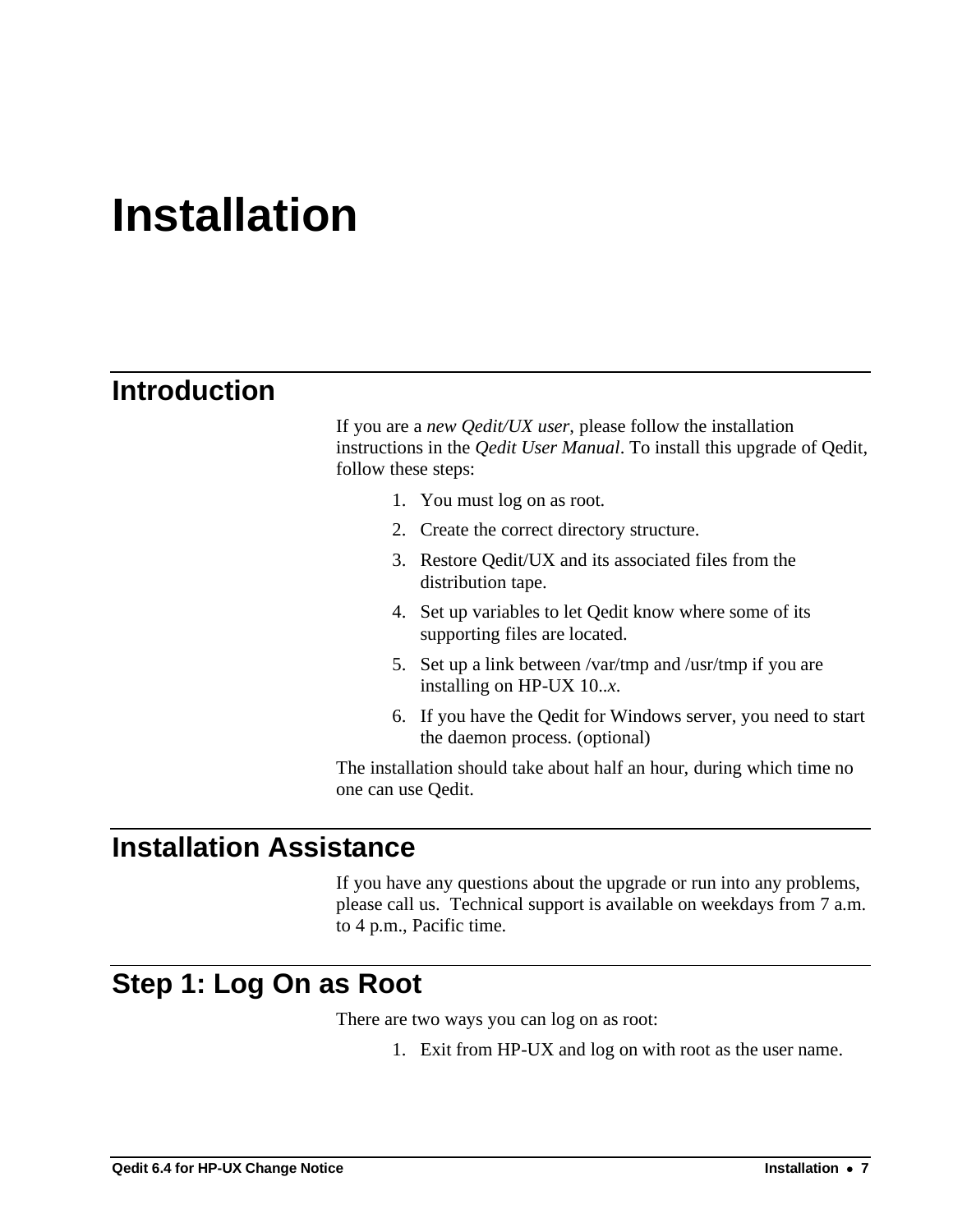## <span id="page-10-0"></span>**Installation**

## <span id="page-10-1"></span>**Introduction**

If you are a *new Qedit/UX user*, please follow the installation instructions in the *Qedit User Manual*. To install this upgrade of Qedit, follow these steps:

- 1. You must log on as root.
- 2. Create the correct directory structure.
- 3. Restore Qedit/UX and its associated files from the distribution tape.
- 4. Set up variables to let Qedit know where some of its supporting files are located.
- 5. Set up a link between /var/tmp and /usr/tmp if you are installing on HP-UX 10..*x*.
- 6. If you have the Qedit for Windows server, you need to start the daemon process. (optional)

The installation should take about half an hour, during which time no one can use Qedit.

### <span id="page-10-2"></span>**Installation Assistance**

If you have any questions about the upgrade or run into any problems, please call us. Technical support is available on weekdays from 7 a.m. to 4 p.m., Pacific time.

## <span id="page-10-3"></span>**Step 1: Log On as Root**

There are two ways you can log on as root:

1. Exit from HP-UX and log on with root as the user name.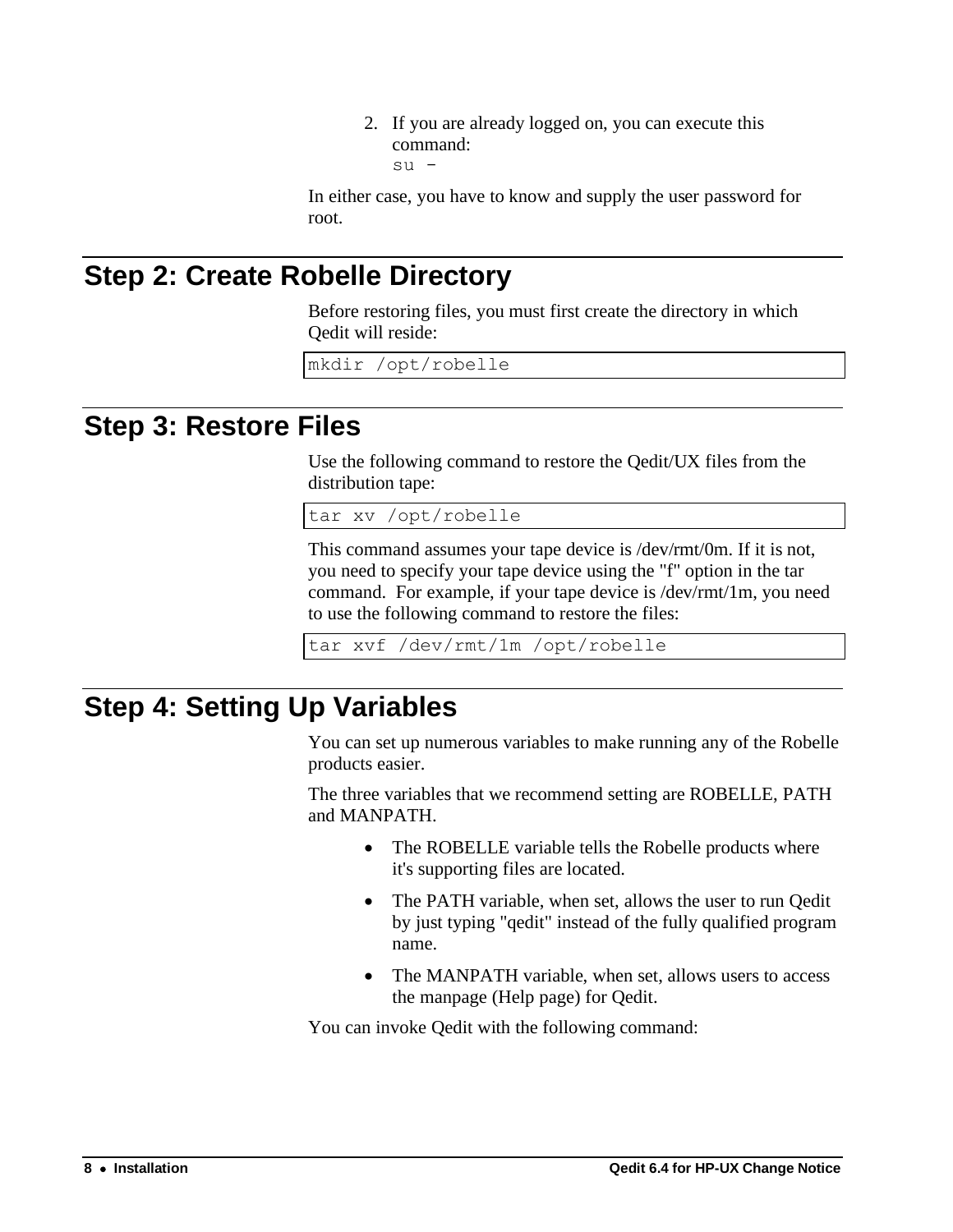2. If you are already logged on, you can execute this command: su -

In either case, you have to know and supply the user password for root.

## <span id="page-11-0"></span>**Step 2: Create Robelle Directory**

Before restoring files, you must first create the directory in which Qedit will reside:

mkdir /opt/robelle

## <span id="page-11-1"></span>**Step 3: Restore Files**

Use the following command to restore the Qedit/UX files from the distribution tape:

tar xv /opt/robelle

This command assumes your tape device is /dev/rmt/0m. If it is not, you need to specify your tape device using the "f" option in the tar command. For example, if your tape device is /dev/rmt/1m, you need to use the following command to restore the files:

tar xvf /dev/rmt/1m /opt/robelle

## <span id="page-11-2"></span>**Step 4: Setting Up Variables**

You can set up numerous variables to make running any of the Robelle products easier.

The three variables that we recommend setting are ROBELLE, PATH and MANPATH.

- The ROBELLE variable tells the Robelle products where it's supporting files are located.
- The PATH variable, when set, allows the user to run Qedit by just typing "qedit" instead of the fully qualified program name.
- The MANPATH variable, when set, allows users to access the manpage (Help page) for Qedit.

You can invoke Qedit with the following command: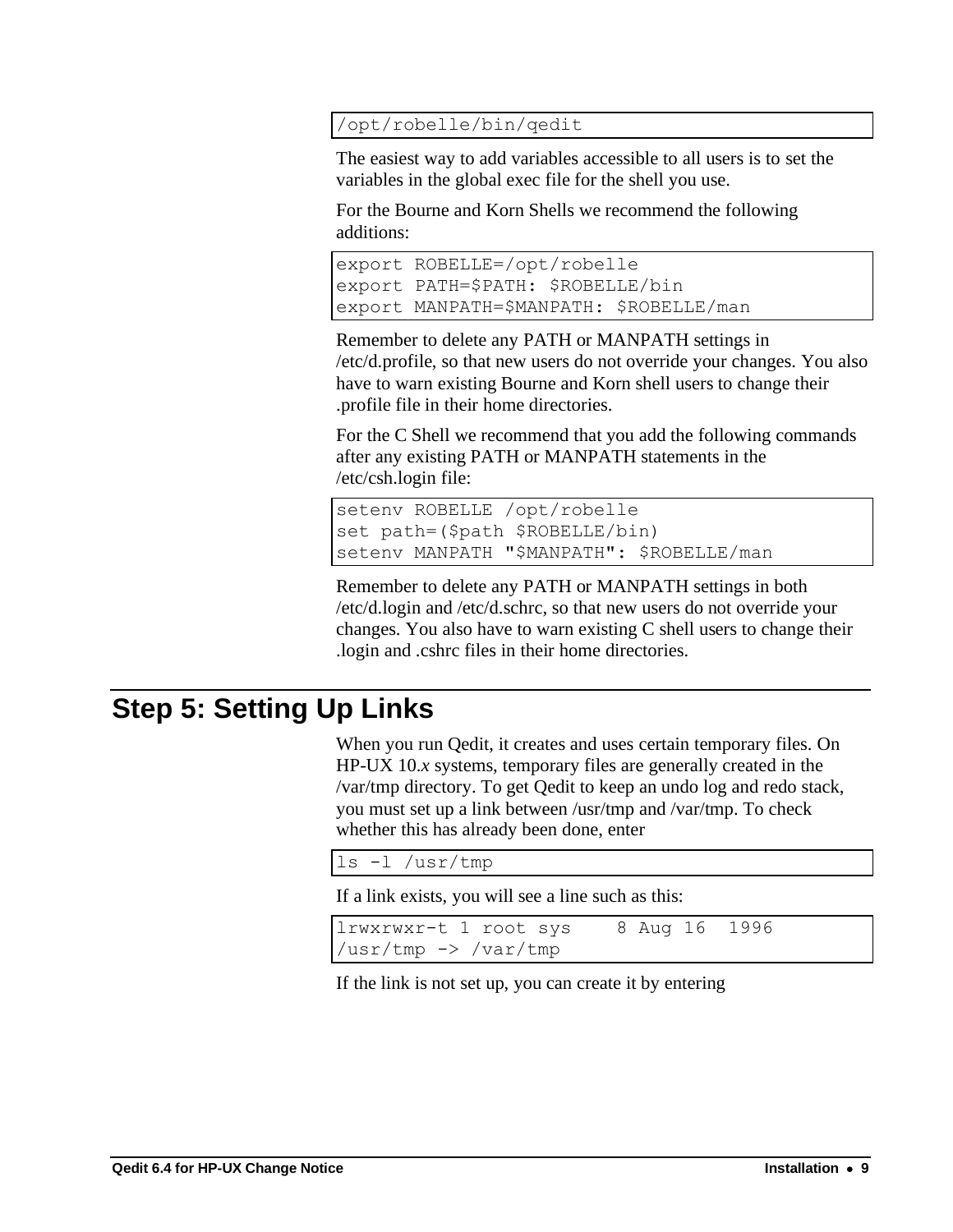#### /opt/robelle/bin/qedit

The easiest way to add variables accessible to all users is to set the variables in the global exec file for the shell you use.

For the Bourne and Korn Shells we recommend the following additions:

```
export ROBELLE=/opt/robelle
export PATH=$PATH: $ROBELLE/bin
export MANPATH=$MANPATH: $ROBELLE/man
```
Remember to delete any PATH or MANPATH settings in /etc/d.profile, so that new users do not override your changes. You also have to warn existing Bourne and Korn shell users to change their .profile file in their home directories.

For the C Shell we recommend that you add the following commands after any existing PATH or MANPATH statements in the /etc/csh.login file:

```
setenv ROBELLE /opt/robelle
set path=($path $ROBELLE/bin)
setenv MANPATH "$MANPATH": $ROBELLE/man
```
Remember to delete any PATH or MANPATH settings in both /etc/d.login and /etc/d.schrc, so that new users do not override your changes. You also have to warn existing C shell users to change their .login and .cshrc files in their home directories.

## <span id="page-12-0"></span>**Step 5: Setting Up Links**

When you run Qedit, it creates and uses certain temporary files. On HP-UX 10.*x* systems, temporary files are generally created in the /var/tmp directory. To get Qedit to keep an undo log and redo stack, you must set up a link between /usr/tmp and /var/tmp. To check whether this has already been done, enter

```
ls -l /usr/tmp
```
If a link exists, you will see a line such as this:

```
lrwxrwxr-t 1 root sys 8 Aug 16 1996 
/usr/tmp -> /var/tmp
```
If the link is not set up, you can create it by entering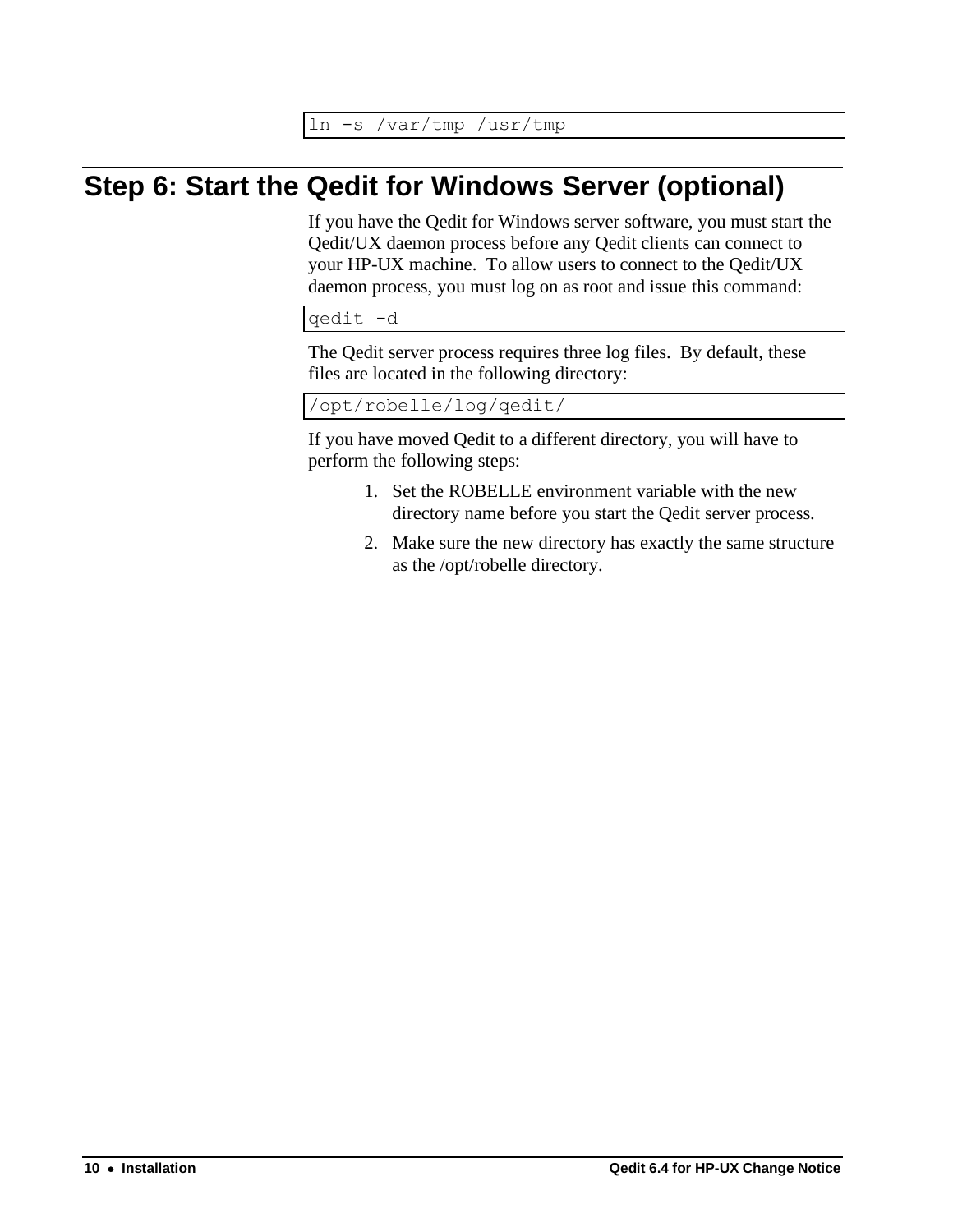ln -s /var/tmp /usr/tmp

## <span id="page-13-0"></span>**Step 6: Start the Qedit for Windows Server (optional)**

If you have the Qedit for Windows server software, you must start the Qedit/UX daemon process before any Qedit clients can connect to your HP-UX machine. To allow users to connect to the Qedit/UX daemon process, you must log on as root and issue this command:

qedit -d

The Qedit server process requires three log files. By default, these files are located in the following directory:

/opt/robelle/log/qedit/

If you have moved Qedit to a different directory, you will have to perform the following steps:

- 1. Set the ROBELLE environment variable with the new directory name before you start the Qedit server process.
- 2. Make sure the new directory has exactly the same structure as the /opt/robelle directory.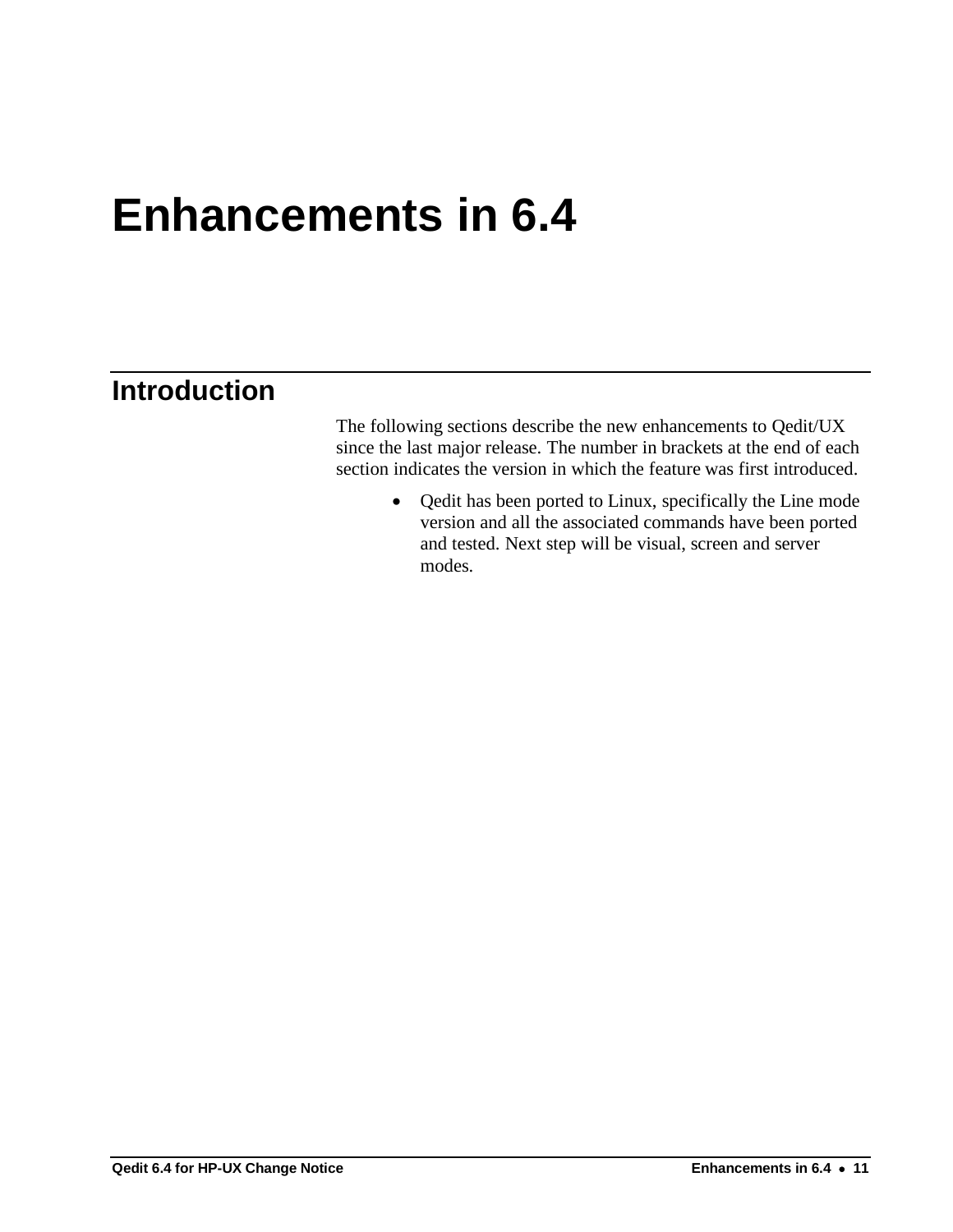## <span id="page-14-0"></span>**Enhancements in 6.4**

## <span id="page-14-1"></span>**Introduction**

The following sections describe the new enhancements to Qedit/UX since the last major release. The number in brackets at the end of each section indicates the version in which the feature was first introduced.

> • Qedit has been ported to Linux, specifically the Line mode version and all the associated commands have been ported and tested. Next step will be visual, screen and server modes.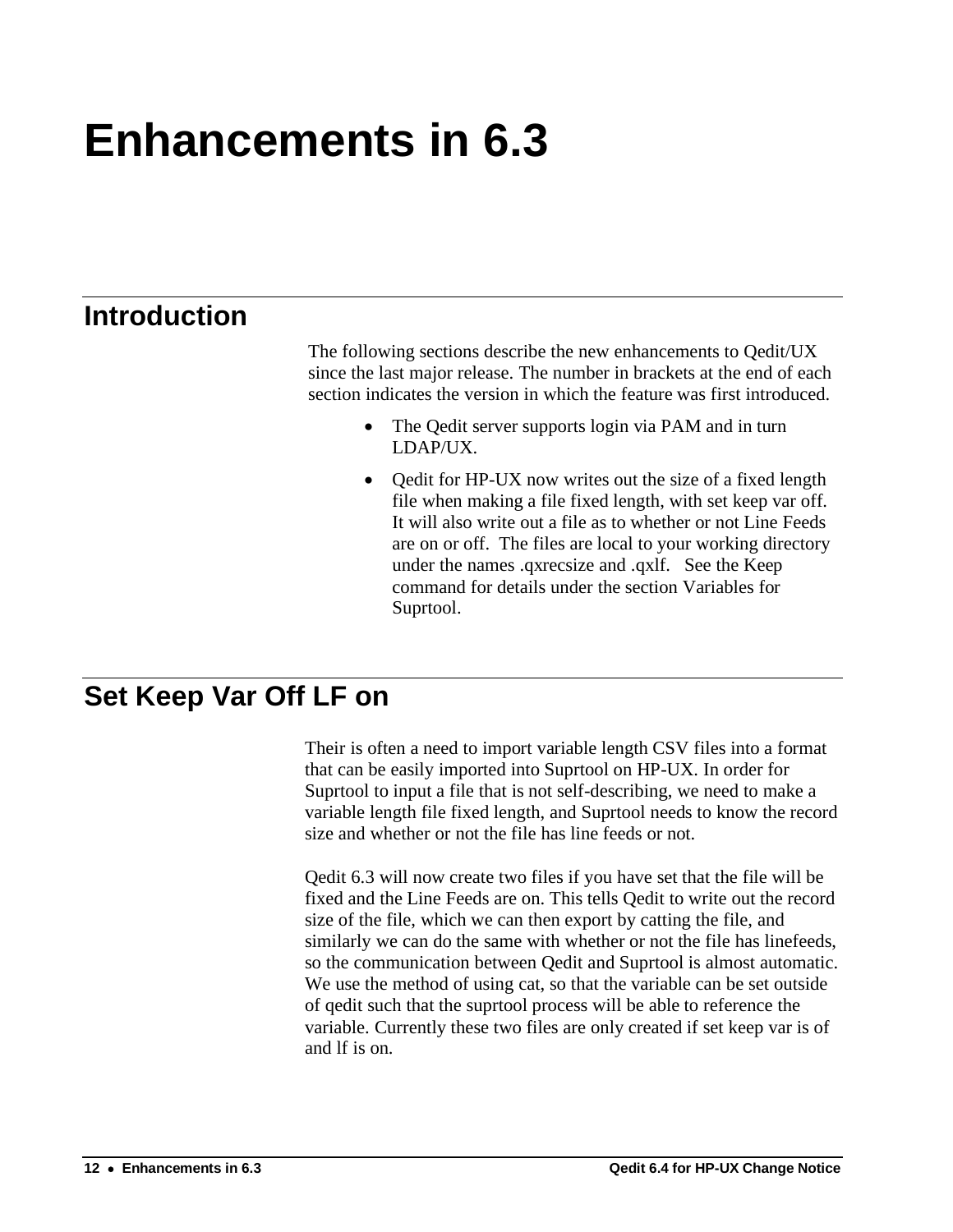# <span id="page-15-0"></span>**Enhancements in 6.3**

## <span id="page-15-1"></span>**Introduction**

The following sections describe the new enhancements to Qedit/UX since the last major release. The number in brackets at the end of each section indicates the version in which the feature was first introduced.

- The Qedit server supports login via PAM and in turn LDAP/UX.
- Qedit for HP-UX now writes out the size of a fixed length file when making a file fixed length, with set keep var off. It will also write out a file as to whether or not Line Feeds are on or off. The files are local to your working directory under the names .qxrecsize and .qxlf. See the Keep command for details under the section Variables for Suprtool.

## <span id="page-15-2"></span>**Set Keep Var Off LF on**

Their is often a need to import variable length CSV files into a format that can be easily imported into Suprtool on HP-UX. In order for Suprtool to input a file that is not self-describing, we need to make a variable length file fixed length, and Suprtool needs to know the record size and whether or not the file has line feeds or not.

Qedit 6.3 will now create two files if you have set that the file will be fixed and the Line Feeds are on. This tells Qedit to write out the record size of the file, which we can then export by catting the file, and similarly we can do the same with whether or not the file has linefeeds, so the communication between Qedit and Suprtool is almost automatic. We use the method of using cat, so that the variable can be set outside of qedit such that the suprtool process will be able to reference the variable. Currently these two files are only created if set keep var is of and lf is on.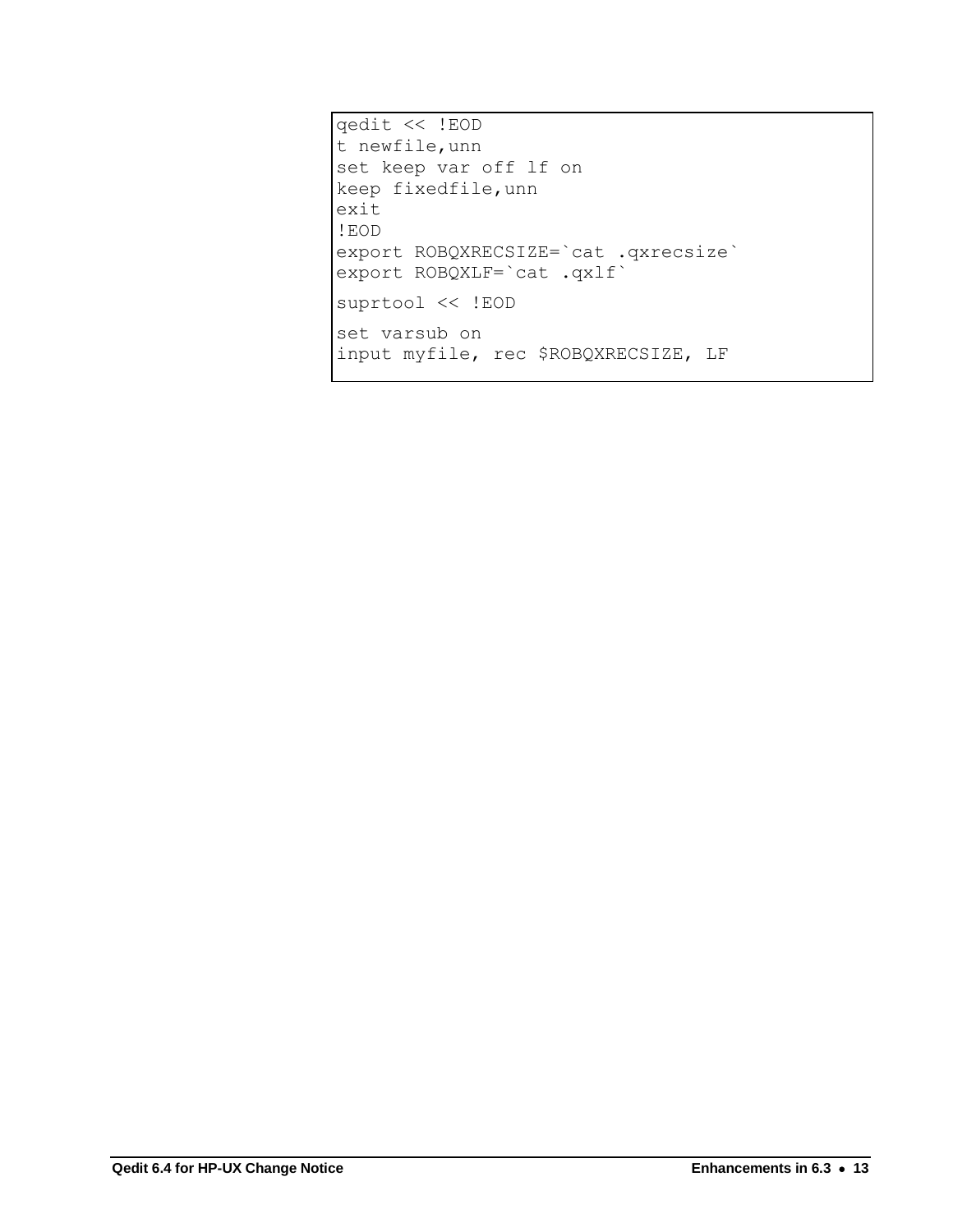qedit << !EOD t newfile, unn set keep var off lf on keep fixedfile, unn exit ! EOD export ROBQXRECSIZE= cat .qxrecsize<br>export ROBQXLF= cat .qxlf suprtool << !EOD set varsub on input myfile, rec \$ROBQXRECSIZE, LF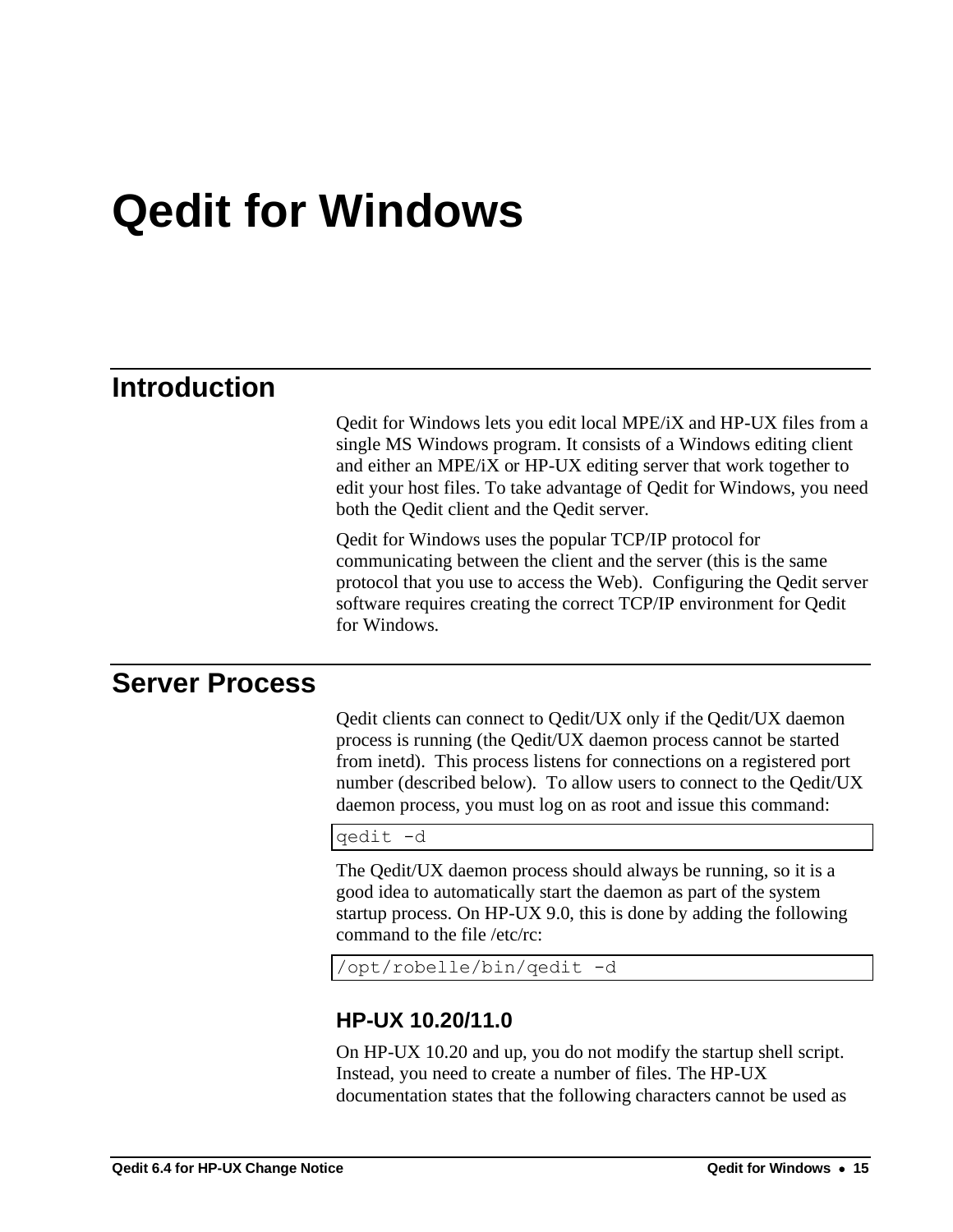## <span id="page-18-0"></span>**Qedit for Windows**

## <span id="page-18-1"></span>**Introduction**

Qedit for Windows lets you edit local MPE/iX and HP-UX files from a single MS Windows program. It consists of a Windows editing client and either an MPE/iX or HP-UX editing server that work together to edit your host files. To take advantage of Qedit for Windows, you need both the Qedit client and the Qedit server.

Qedit for Windows uses the popular TCP/IP protocol for communicating between the client and the server (this is the same protocol that you use to access the Web). Configuring the Qedit server software requires creating the correct TCP/IP environment for Qedit for Windows.

### <span id="page-18-2"></span>**Server Process**

Qedit clients can connect to Qedit/UX only if the Qedit/UX daemon process is running (the Qedit/UX daemon process cannot be started from inetd). This process listens for connections on a registered port number (described below). To allow users to connect to the Qedit/UX daemon process, you must log on as root and issue this command:

qedit -d

The Qedit/UX daemon process should always be running, so it is a good idea to automatically start the daemon as part of the system startup process. On HP-UX 9.0, this is done by adding the following command to the file /etc/rc:

<span id="page-18-3"></span>/opt/robelle/bin/qedit -d

#### **HP-UX 10.20/11.0**

On HP-UX 10.20 and up, you do not modify the startup shell script. Instead, you need to create a number of files. The HP-UX documentation states that the following characters cannot be used as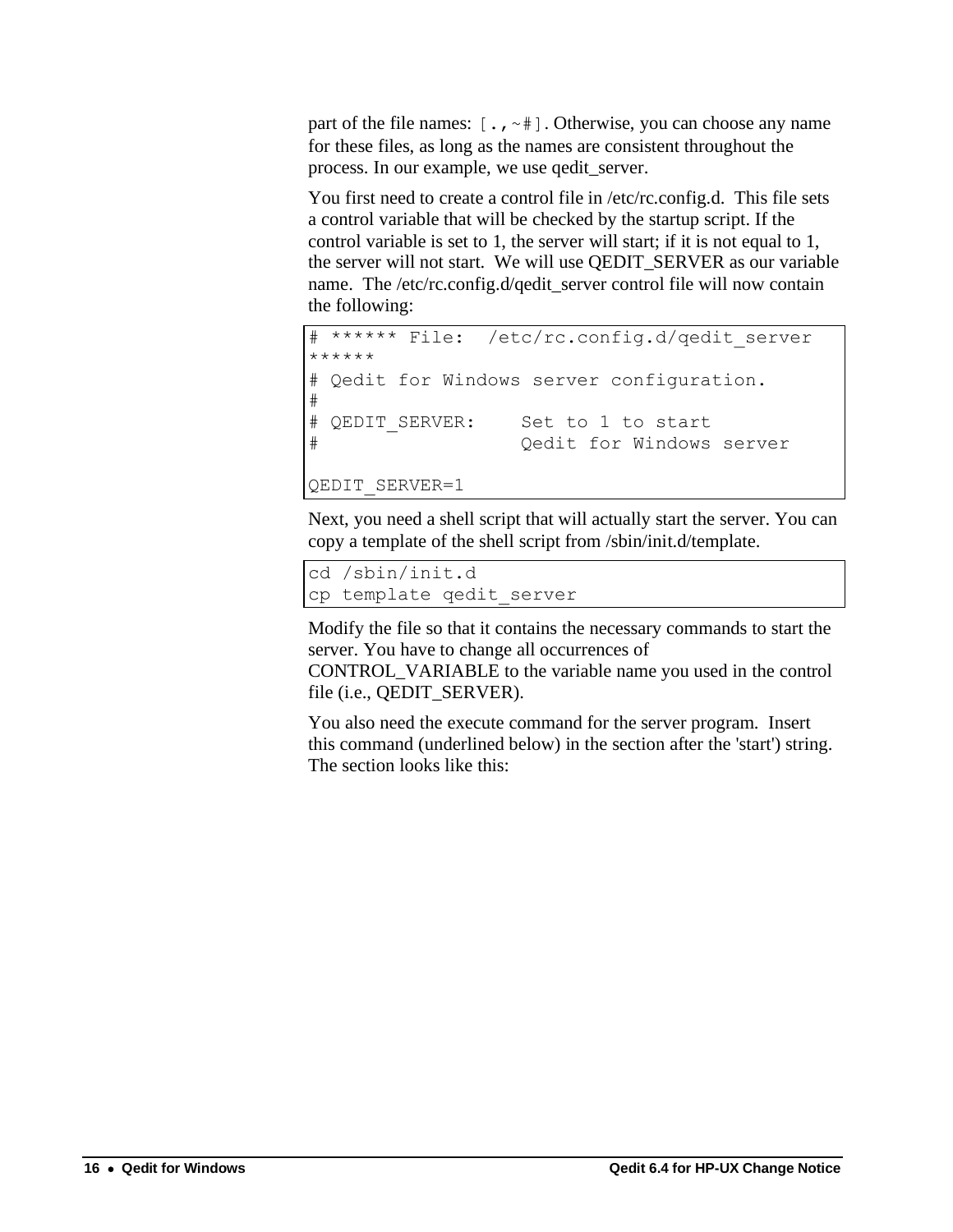part of the file names:  $[\cdot, \cdot]^*$ . Otherwise, you can choose any name for these files, as long as the names are consistent throughout the process. In our example, we use qedit\_server.

You first need to create a control file in /etc/rc.config.d. This file sets a control variable that will be checked by the startup script. If the control variable is set to 1, the server will start; if it is not equal to 1, the server will not start. We will use QEDIT\_SERVER as our variable name. The /etc/rc.config.d/qedit\_server control file will now contain the following:

```
****** File: /etc/rc.config.d/qedit server
******
# Qedit for Windows server configuration.
#
# OEDIT SERVER: Set to 1 to start
# Qedit for Windows server
QEDIT_SERVER=1
```
Next, you need a shell script that will actually start the server. You can copy a template of the shell script from /sbin/init.d/template.

```
cd /sbin/init.d
cp template qedit_server
```
Modify the file so that it contains the necessary commands to start the server. You have to change all occurrences of

CONTROL\_VARIABLE to the variable name you used in the control file (i.e., QEDIT\_SERVER).

You also need the execute command for the server program. Insert this command (underlined below) in the section after the 'start') string. The section looks like this: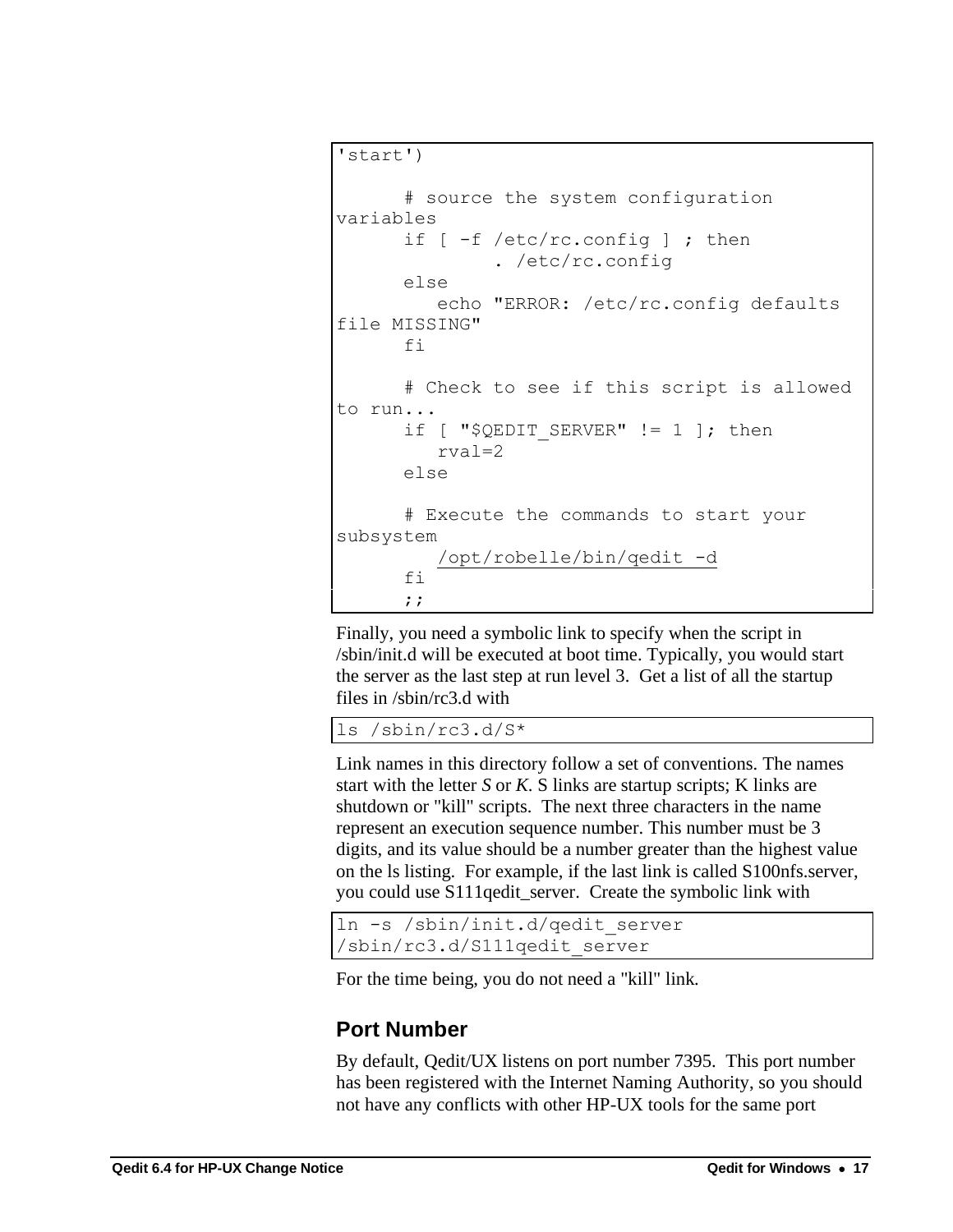```
'start')
       # source the system configuration 
variables
       if [ -f /etc/rc.config ] ; then
                . /etc/rc.config
       else
          echo "ERROR: /etc/rc.config defaults 
file MISSING"
       fi
       # Check to see if this script is allowed 
to run...
      if [ "$QEDIT SERVER" != 1 ]; then
          rval=2
       else
       # Execute the commands to start your 
subsystem
           /opt/robelle/bin/qedit -d
      f_1 ;;
```
Finally, you need a symbolic link to specify when the script in /sbin/init.d will be executed at boot time. Typically, you would start the server as the last step at run level 3. Get a list of all the startup files in /sbin/rc3.d with

ls /sbin/rc3.d/S\*

Link names in this directory follow a set of conventions. The names start with the letter *S* or *K*. S links are startup scripts; K links are shutdown or "kill" scripts. The next three characters in the name represent an execution sequence number. This number must be 3 digits, and its value should be a number greater than the highest value on the ls listing. For example, if the last link is called S100nfs.server, you could use S111qedit\_server. Create the symbolic link with

```
ln -s /sbin/init.d/qedit_server 
/sbin/rc3.d/S111qedit_server
```
<span id="page-20-0"></span>For the time being, you do not need a "kill" link.

### **Port Number**

By default, Qedit/UX listens on port number 7395. This port number has been registered with the Internet Naming Authority, so you should not have any conflicts with other HP-UX tools for the same port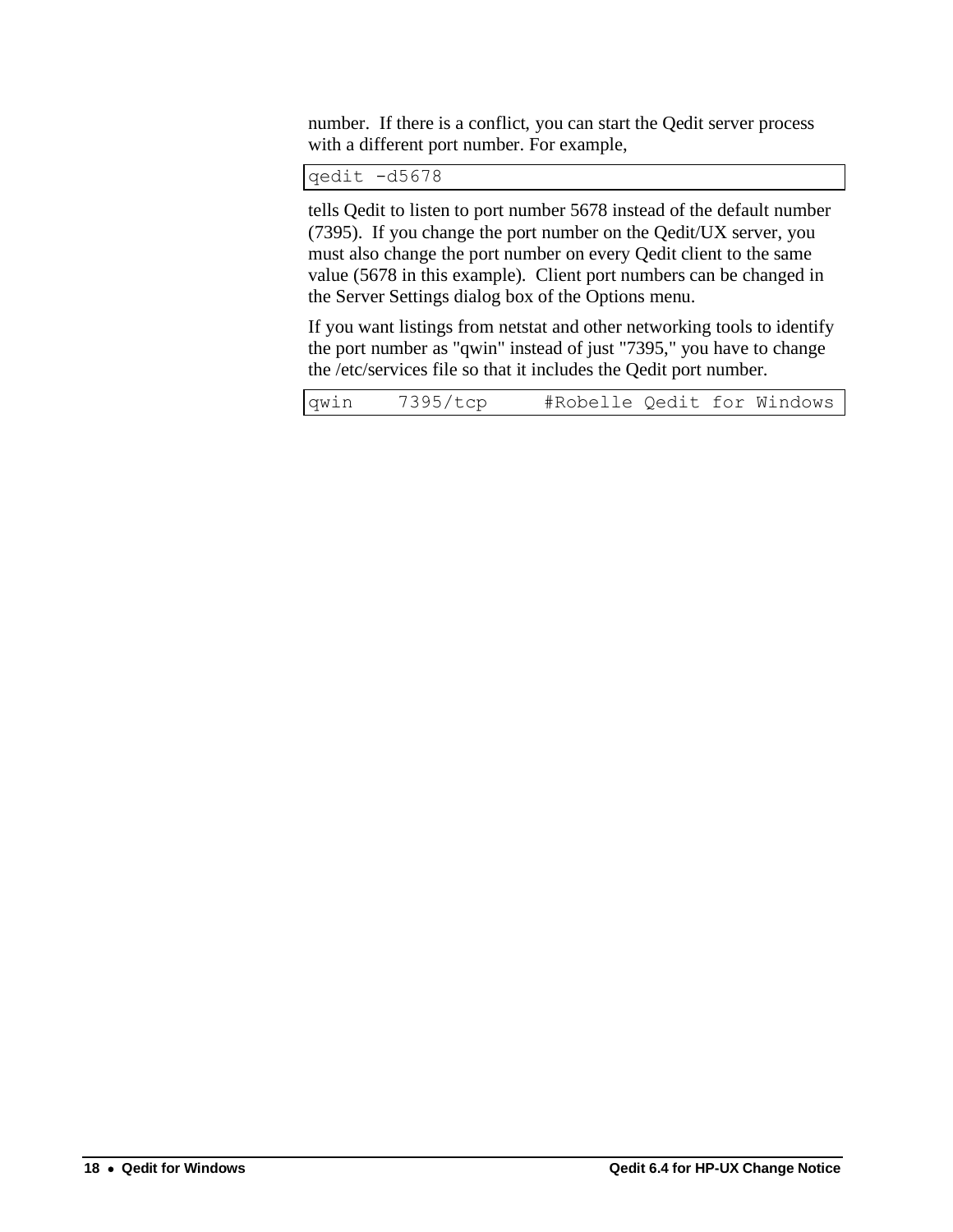number. If there is a conflict, you can start the Qedit server process with a different port number. For example,

qedit -d5678

tells Qedit to listen to port number 5678 instead of the default number (7395). If you change the port number on the Qedit/UX server, you must also change the port number on every Qedit client to the same value (5678 in this example). Client port numbers can be changed in the Server Settings dialog box of the Options menu.

If you want listings from netstat and other networking tools to identify the port number as "qwin" instead of just "7395," you have to change the /etc/services file so that it includes the Qedit port number.